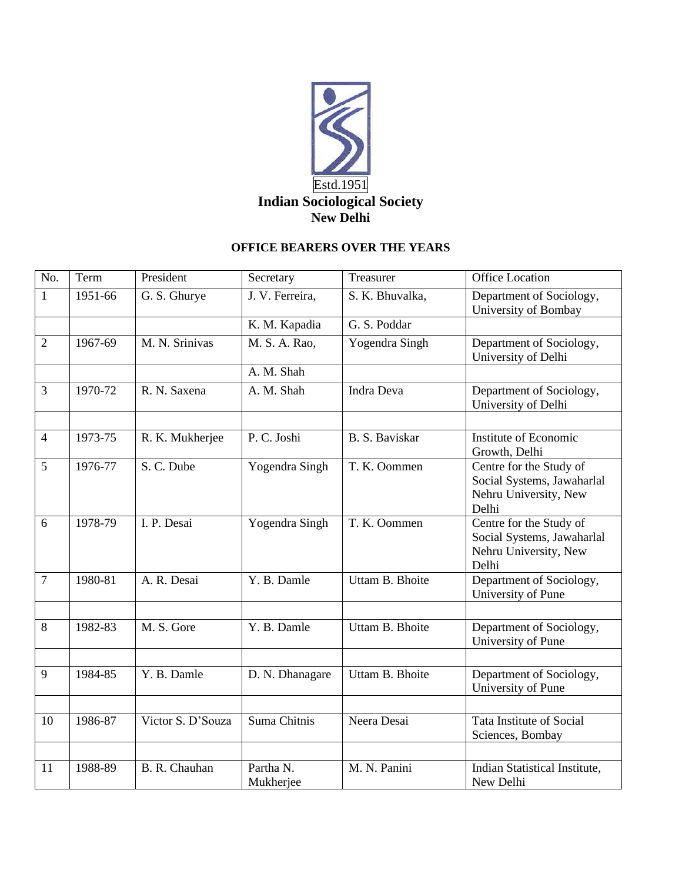

## **OFFICE BEARERS OVER THE YEARS**

| No.            | Term    | President         | Secretary              | Treasurer       | <b>Office Location</b>                                                                  |
|----------------|---------|-------------------|------------------------|-----------------|-----------------------------------------------------------------------------------------|
| $\mathbf{1}$   | 1951-66 | G. S. Ghurye      | J. V. Ferreira,        | S. K. Bhuvalka, | Department of Sociology,<br>University of Bombay                                        |
|                |         |                   | K. M. Kapadia          | G. S. Poddar    |                                                                                         |
| $\overline{2}$ | 1967-69 | M. N. Srinivas    | M. S. A. Rao,          | Yogendra Singh  | Department of Sociology,<br>University of Delhi                                         |
|                |         |                   | A. M. Shah             |                 |                                                                                         |
| $\overline{3}$ | 1970-72 | R. N. Saxena      | A. M. Shah             | Indra Deva      | Department of Sociology,<br>University of Delhi                                         |
|                |         |                   |                        |                 |                                                                                         |
| $\overline{4}$ | 1973-75 | R. K. Mukherjee   | P. C. Joshi            | B. S. Baviskar  | Institute of Economic<br>Growth, Delhi                                                  |
| 5              | 1976-77 | S. C. Dube        | Yogendra Singh         | T. K. Oommen    | Centre for the Study of<br>Social Systems, Jawaharlal<br>Nehru University, New<br>Delhi |
| 6              | 1978-79 | I. P. Desai       | Yogendra Singh         | T. K. Oommen    | Centre for the Study of<br>Social Systems, Jawaharlal<br>Nehru University, New<br>Delhi |
| $\overline{7}$ | 1980-81 | A. R. Desai       | Y. B. Damle            | Uttam B. Bhoite | Department of Sociology,<br>University of Pune                                          |
|                |         |                   |                        |                 |                                                                                         |
| 8              | 1982-83 | M. S. Gore        | Y. B. Damle            | Uttam B. Bhoite | Department of Sociology,<br>University of Pune                                          |
|                |         |                   |                        |                 |                                                                                         |
| 9              | 1984-85 | Y. B. Damle       | D. N. Dhanagare        | Uttam B. Bhoite | Department of Sociology,<br>University of Pune                                          |
|                |         |                   |                        |                 |                                                                                         |
| 10             | 1986-87 | Victor S. D'Souza | Suma Chitnis           | Neera Desai     | Tata Institute of Social<br>Sciences, Bombay                                            |
|                |         |                   |                        |                 |                                                                                         |
| 11             | 1988-89 | B. R. Chauhan     | Partha N.<br>Mukherjee | M. N. Panini    | Indian Statistical Institute,<br>New Delhi                                              |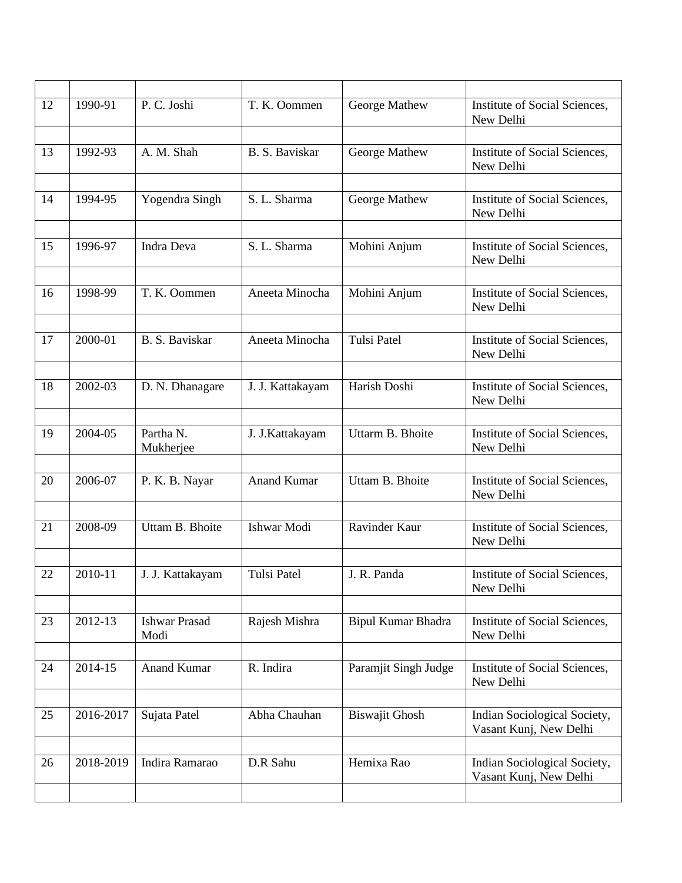| 12 | 1990-91   | P. C. Joshi                  | T. K. Oommen       | George Mathew             | Institute of Social Sciences,<br>New Delhi             |
|----|-----------|------------------------------|--------------------|---------------------------|--------------------------------------------------------|
|    |           |                              |                    |                           |                                                        |
| 13 | 1992-93   | A. M. Shah                   | B. S. Baviskar     | George Mathew             | Institute of Social Sciences,<br>New Delhi             |
|    |           |                              |                    |                           |                                                        |
| 14 | 1994-95   | Yogendra Singh               | S. L. Sharma       | George Mathew             | Institute of Social Sciences,<br>New Delhi             |
|    |           |                              |                    |                           |                                                        |
| 15 | 1996-97   | Indra Deva                   | S. L. Sharma       | Mohini Anjum              | Institute of Social Sciences,<br>New Delhi             |
|    |           |                              |                    |                           |                                                        |
| 16 | 1998-99   | T. K. Oommen                 | Aneeta Minocha     | Mohini Anjum              | Institute of Social Sciences,<br>New Delhi             |
|    |           |                              |                    |                           |                                                        |
| 17 | 2000-01   | B. S. Baviskar               | Aneeta Minocha     | <b>Tulsi Patel</b>        | Institute of Social Sciences,<br>New Delhi             |
|    |           |                              |                    |                           |                                                        |
| 18 | 2002-03   | D. N. Dhanagare              | J. J. Kattakayam   | Harish Doshi              | Institute of Social Sciences,<br>New Delhi             |
|    |           |                              |                    |                           |                                                        |
| 19 | 2004-05   | Partha N.<br>Mukherjee       | J. J. Kattakayam   | Uttarm B. Bhoite          | Institute of Social Sciences,<br>New Delhi             |
|    |           |                              |                    |                           |                                                        |
| 20 | 2006-07   | P. K. B. Nayar               | <b>Anand Kumar</b> | Uttam B. Bhoite           | Institute of Social Sciences,<br>New Delhi             |
|    |           |                              |                    |                           |                                                        |
| 21 | 2008-09   | Uttam B. Bhoite              | Ishwar Modi        | Ravinder Kaur             | Institute of Social Sciences,<br>New Delhi             |
|    |           |                              |                    |                           |                                                        |
| 22 | 2010-11   | J. J. Kattakayam             | <b>Tulsi Patel</b> | J. R. Panda               | Institute of Social Sciences,<br>New Delhi             |
|    |           |                              |                    |                           |                                                        |
| 23 | 2012-13   | <b>Ishwar Prasad</b><br>Modi | Rajesh Mishra      | <b>Bipul Kumar Bhadra</b> | Institute of Social Sciences,<br>New Delhi             |
|    |           |                              |                    |                           |                                                        |
| 24 | 2014-15   | <b>Anand Kumar</b>           | R. Indira          | Paramjit Singh Judge      | Institute of Social Sciences,<br>New Delhi             |
|    |           |                              |                    |                           |                                                        |
| 25 | 2016-2017 | Sujata Patel                 | Abha Chauhan       | <b>Biswajit Ghosh</b>     | Indian Sociological Society,<br>Vasant Kunj, New Delhi |
|    |           |                              |                    |                           |                                                        |
| 26 | 2018-2019 | Indira Ramarao               | D.R Sahu           | Hemixa Rao                | Indian Sociological Society,<br>Vasant Kunj, New Delhi |
|    |           |                              |                    |                           |                                                        |